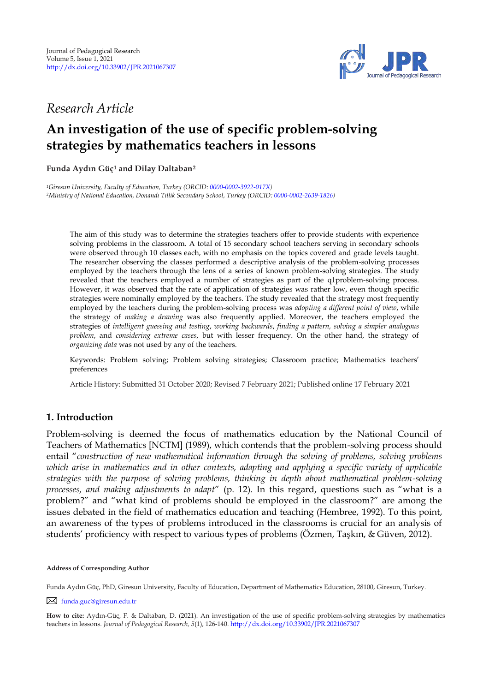

# *Research Article*

# **An investigation of the use of specific problem-solving strategies by mathematics teachers in lessons**

**Funda Aydın Güç<sup>1</sup> and Dilay Daltaban 2 1**

*<sup>1</sup>Giresun University, Faculty of Education, Turkey (ORCID[: 0000-0002-3922-017X\)](https://orcid.org/0000-0002-3922-017X) <sup>2</sup>Ministry of National Education, Donandı Tıllik Secondary School, Turkey (ORCID[: 0000-0002-2639-1826\)](https://orcid.org/0000-0002-2639-1826)*

The aim of this study was to determine the strategies teachers offer to provide students with experience solving problems in the classroom. A total of 15 secondary school teachers serving in secondary schools were observed through 10 classes each, with no emphasis on the topics covered and grade levels taught. The researcher observing the classes performed a descriptive analysis of the problem-solving processes employed by the teachers through the lens of a series of known problem-solving strategies. The study revealed that the teachers employed a number of strategies as part of the q1problem-solving process. However, it was observed that the rate of application of strategies was rather low, even though specific strategies were nominally employed by the teachers. The study revealed that the strategy most frequently employed by the teachers during the problem-solving process was *adopting a different point of view*, while the strategy of *making a drawing* was also frequently applied. Moreover, the teachers employed the strategies of *intelligent guessing and testing*, *working backwards*, *finding a pattern, solving a simpler analogous problem*, and *considering extreme cases*, but with lesser frequency. On the other hand, the strategy of *organizing data* was not used by any of the teachers.

Keywords: Problem solving; Problem solving strategies; Classroom practice; Mathematics teachers' preferences

Article History: Submitted 31 October 2020; Revised 7 February 2021; Published online 17 February 2021

# **1. Introduction**

Problem-solving is deemed the focus of mathematics education by the National Council of Teachers of Mathematics [NCTM] (1989), which contends that the problem-solving process should entail "*construction of new mathematical information through the solving of problems, solving problems which arise in mathematics and in other contexts, adapting and applying a specific variety of applicable strategies with the purpose of solving problems, thinking in depth about mathematical problem-solving processes, and making adjustments to adapt*" (p. 12). In this regard, questions such as "what is a problem?" and "what kind of problems should be employed in the classroom?" are among the issues debated in the field of mathematics education and teaching (Hembree, 1992). To this point, an awareness of the types of problems introduced in the classrooms is crucial for an analysis of students' proficiency with respect to various types of problems (Özmen, Taşkın, & Güven, 2012).

**Address of Corresponding Author**

Funda Aydın Güç, PhD, Giresun University, Faculty of Education, Department of Mathematics Education, 28100, Giresun, Turkey.

[funda.guc@giresun.edu.tr](mailto:funda.guc@giresun.edu.tr)

**How to cite:** Aydın-Güç, F. & Daltaban, D. (2021). An investigation of the use of specific problem-solving strategies by mathematics teachers in lessons. *Journal of Pedagogical Research, 5*(1), 126-140. <http://dx.doi.org/10.33902/JPR.2021067307>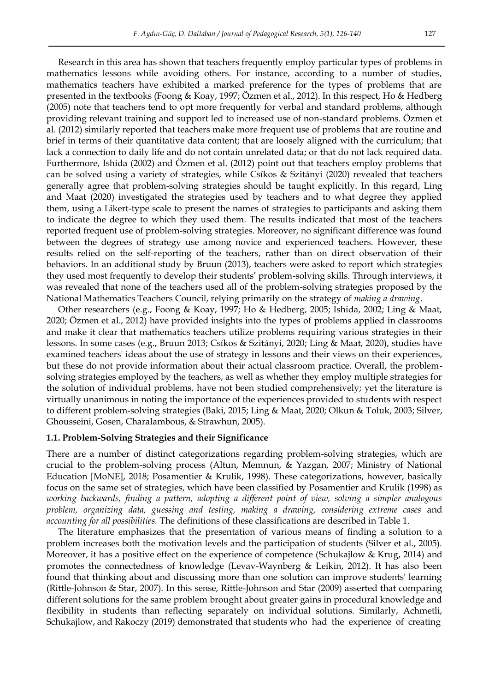Research in this area has shown that teachers frequently employ particular types of problems in mathematics lessons while avoiding others. For instance, according to a number of studies, mathematics teachers have exhibited a marked preference for the types of problems that are presented in the textbooks (Foong & Koay, 1997; Özmen et al., 2012). In this respect, Ho & Hedberg (2005) note that teachers tend to opt more frequently for verbal and standard problems, although providing relevant training and support led to increased use of non-standard problems. Özmen et al. (2012) similarly reported that teachers make more frequent use of problems that are routine and brief in terms of their quantitative data content; that are loosely aligned with the curriculum; that lack a connection to daily life and do not contain unrelated data; or that do not lack required data. Furthermore, Ishida (2002) and Özmen et al. (2012) point out that teachers employ problems that can be solved using a variety of strategies, while Csíkos & Szitányi (2020) revealed that teachers generally agree that problem-solving strategies should be taught explicitly. In this regard, Ling and Maat (2020) investigated the strategies used by teachers and to what degree they applied them, using a Likert-type scale to present the names of strategies to participants and asking them to indicate the degree to which they used them. The results indicated that most of the teachers reported frequent use of problem-solving strategies. Moreover, no significant difference was found between the degrees of strategy use among novice and experienced teachers. However, these results relied on the self-reporting of the teachers, rather than on direct observation of their behaviors. In an additional study by Bruun (2013), teachers were asked to report which strategies they used most frequently to develop their students' problem-solving skills. Through interviews, it was revealed that none of the teachers used all of the problem-solving strategies proposed by the National Mathematics Teachers Council, relying primarily on the strategy of *making a drawing*.

Other researchers (e.g., Foong & Koay, 1997; Ho & Hedberg, 2005; Ishida, 2002; Ling & Maat, 2020; Özmen et al., 2012) have provided insights into the types of problems applied in classrooms and make it clear that mathematics teachers utilize problems requiring various strategies in their lessons. In some cases (e.g., Bruun 2013; Csíkos & Szitányi, 2020; Ling & Maat, 2020), studies have examined teachers' ideas about the use of strategy in lessons and their views on their experiences, but these do not provide information about their actual classroom practice. Overall, the problemsolving strategies employed by the teachers, as well as whether they employ multiple strategies for the solution of individual problems, have not been studied comprehensively; yet the literature is virtually unanimous in noting the importance of the experiences provided to students with respect to different problem-solving strategies (Baki, 2015; Ling & Maat, 2020; Olkun & Toluk, 2003; Silver, Ghousseini, Gosen, Charalambous, & Strawhun, 2005).

#### **1.1. Problem-Solving Strategies and their Significance**

There are a number of distinct categorizations regarding problem-solving strategies, which are crucial to the problem-solving process (Altun, Memnun, & Yazgan, 2007; Ministry of National Education [MoNE], 2018; Posamentier & Krulik, 1998). These categorizations, however, basically focus on the same set of strategies, which have been classified by Posamentier and Krulik (1998) as *working backwards, finding a pattern, adopting a different point of view, solving a simpler analogous problem, organizing data, guessing and testing, making a drawing, considering extreme cases* and *accounting for all possibilities.* The definitions of these classifications are described in Table 1.

The literature emphasizes that the presentation of various means of finding a solution to a problem increases both the motivation levels and the participation of students (Silver et al., 2005). Moreover, it has a positive effect on the experience of competence (Schukajlow & Krug, 2014) and promotes the connectedness of knowledge (Levav-Waynberg & Leikin, 2012). It has also been found that thinking about and discussing more than one solution can improve students' learning (Rittle-Johnson & Star, 2007). In this sense, Rittle-Johnson and Star (2009) asserted that comparing different solutions for the same problem brought about greater gains in procedural knowledge and flexibility in students than reflecting separately on individual solutions. Similarly, Achmetli, Schukajlow, and Rakoczy (2019) demonstrated that students who had the experience of creating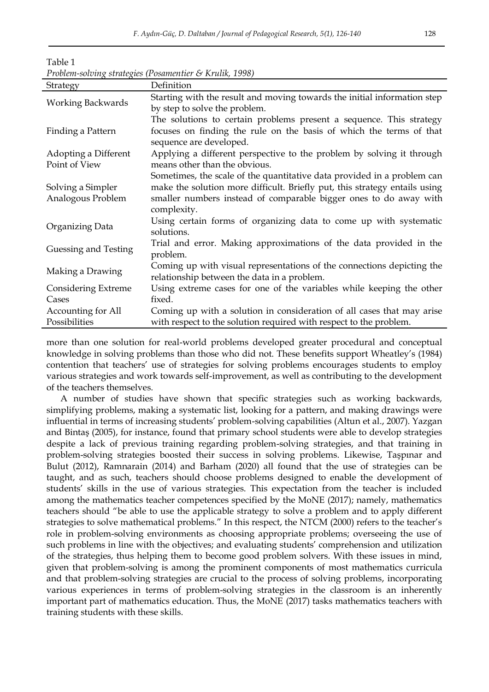| Strategy                 | Definition                                                                 |
|--------------------------|----------------------------------------------------------------------------|
|                          | Starting with the result and moving towards the initial information step   |
| <b>Working Backwards</b> | by step to solve the problem.                                              |
|                          | The solutions to certain problems present a sequence. This strategy        |
| Finding a Pattern        | focuses on finding the rule on the basis of which the terms of that        |
|                          | sequence are developed.                                                    |
| Adopting a Different     | Applying a different perspective to the problem by solving it through      |
| Point of View            | means other than the obvious.                                              |
|                          | Sometimes, the scale of the quantitative data provided in a problem can    |
| Solving a Simpler        | make the solution more difficult. Briefly put, this strategy entails using |
| Analogous Problem        | smaller numbers instead of comparable bigger ones to do away with          |
|                          | complexity.                                                                |
| Organizing Data          | Using certain forms of organizing data to come up with systematic          |
|                          | solutions.                                                                 |
| Guessing and Testing     | Trial and error. Making approximations of the data provided in the         |
|                          | problem.                                                                   |
| Making a Drawing         | Coming up with visual representations of the connections depicting the     |
|                          | relationship between the data in a problem.                                |
| Considering Extreme      | Using extreme cases for one of the variables while keeping the other       |
| Cases                    | fixed.                                                                     |
| Accounting for All       | Coming up with a solution in consideration of all cases that may arise     |
| Possibilities            | with respect to the solution required with respect to the problem.         |

Table 1 *Problem-solving strategies (Posamentier & Krulik, 1998)* 

more than one solution for real-world problems developed greater procedural and conceptual knowledge in solving problems than those who did not. These benefits support Wheatley's (1984) contention that teachers' use of strategies for solving problems encourages students to employ various strategies and work towards self-improvement, as well as contributing to the development of the teachers themselves.

 A number of studies have shown that specific strategies such as working backwards, simplifying problems, making a systematic list, looking for a pattern, and making drawings were influential in terms of increasing students' problem-solving capabilities (Altun et al., 2007). Yazgan and Bintaş (2005), for instance, found that primary school students were able to develop strategies despite a lack of previous training regarding problem-solving strategies, and that training in problem-solving strategies boosted their success in solving problems. Likewise, Taşpınar and Bulut (2012), Ramnarain (2014) and Barham (2020) all found that the use of strategies can be taught, and as such, teachers should choose problems designed to enable the development of students' skills in the use of various strategies. This expectation from the teacher is included among the mathematics teacher competences specified by the MoNE (2017); namely, mathematics teachers should "be able to use the applicable strategy to solve a problem and to apply different strategies to solve mathematical problems." In this respect, the NTCM (2000) refers to the teacher's role in problem-solving environments as choosing appropriate problems; overseeing the use of such problems in line with the objectives; and evaluating students' comprehension and utilization of the strategies, thus helping them to become good problem solvers. With these issues in mind, given that problem-solving is among the prominent components of most mathematics curricula and that problem-solving strategies are crucial to the process of solving problems, incorporating various experiences in terms of problem-solving strategies in the classroom is an inherently important part of mathematics education. Thus, the MoNE (2017) tasks mathematics teachers with training students with these skills.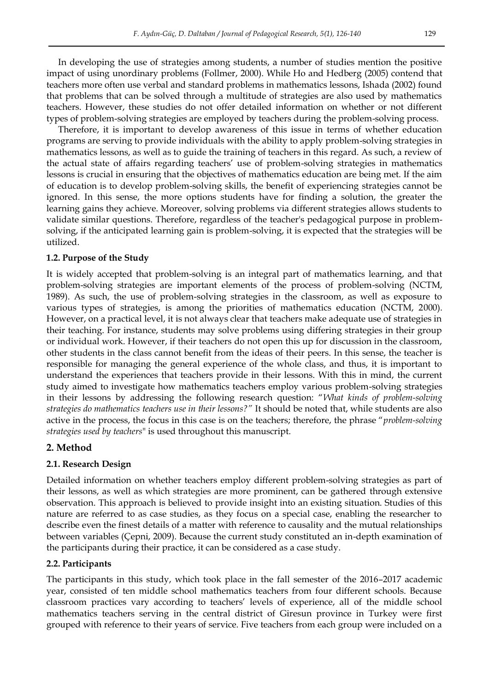In developing the use of strategies among students, a number of studies mention the positive impact of using unordinary problems (Follmer, 2000). While Ho and Hedberg (2005) contend that teachers more often use verbal and standard problems in mathematics lessons, Ishada (2002) found that problems that can be solved through a multitude of strategies are also used by mathematics teachers. However, these studies do not offer detailed information on whether or not different types of problem-solving strategies are employed by teachers during the problem-solving process.

Therefore, it is important to develop awareness of this issue in terms of whether education programs are serving to provide individuals with the ability to apply problem-solving strategies in mathematics lessons, as well as to guide the training of teachers in this regard. As such, a review of the actual state of affairs regarding teachers' use of problem-solving strategies in mathematics lessons is crucial in ensuring that the objectives of mathematics education are being met. If the aim of education is to develop problem-solving skills, the benefit of experiencing strategies cannot be ignored. In this sense, the more options students have for finding a solution, the greater the learning gains they achieve. Moreover, solving problems via different strategies allows students to validate similar questions. Therefore, regardless of the teacher's pedagogical purpose in problemsolving, if the anticipated learning gain is problem-solving, it is expected that the strategies will be utilized.

# **1.2. Purpose of the Study**

It is widely accepted that problem-solving is an integral part of mathematics learning, and that problem-solving strategies are important elements of the process of problem-solving (NCTM, 1989). As such, the use of problem-solving strategies in the classroom, as well as exposure to various types of strategies, is among the priorities of mathematics education (NCTM, 2000). However, on a practical level, it is not always clear that teachers make adequate use of strategies in their teaching. For instance, students may solve problems using differing strategies in their group or individual work. However, if their teachers do not open this up for discussion in the classroom, other students in the class cannot benefit from the ideas of their peers. In this sense, the teacher is responsible for managing the general experience of the whole class, and thus, it is important to understand the experiences that teachers provide in their lessons. With this in mind, the current study aimed to investigate how mathematics teachers employ various problem-solving strategies in their lessons by addressing the following research question: "*What kinds of problem-solving strategies do mathematics teachers use in their lessons?"* It should be noted that, while students are also active in the process, the focus in this case is on the teachers; therefore, the phrase "*problem-solving strategies used by teachers*" is used throughout this manuscript.

# **2. Method**

# **2.1. Research Design**

Detailed information on whether teachers employ different problem-solving strategies as part of their lessons, as well as which strategies are more prominent, can be gathered through extensive observation. This approach is believed to provide insight into an existing situation. Studies of this nature are referred to as case studies, as they focus on a special case, enabling the researcher to describe even the finest details of a matter with reference to causality and the mutual relationships between variables (Çepni, 2009). Because the current study constituted an in-depth examination of the participants during their practice, it can be considered as a case study.

# **2.2. Participants**

The participants in this study, which took place in the fall semester of the 2016–2017 academic year, consisted of ten middle school mathematics teachers from four different schools. Because classroom practices vary according to teachers' levels of experience, all of the middle school mathematics teachers serving in the central district of Giresun province in Turkey were first grouped with reference to their years of service. Five teachers from each group were included on a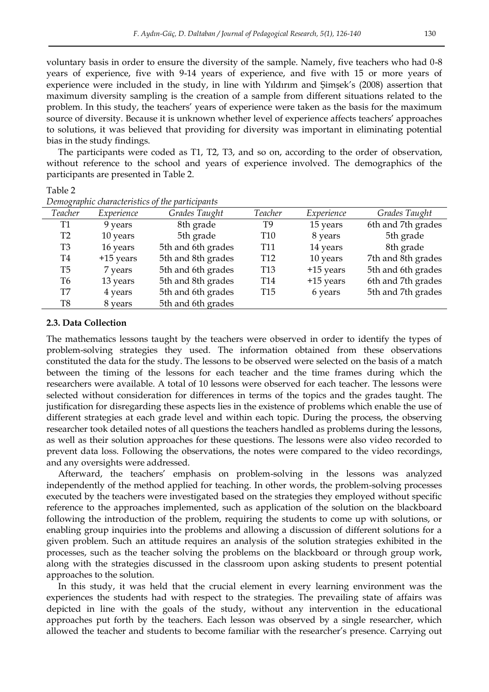voluntary basis in order to ensure the diversity of the sample. Namely, five teachers who had 0-8 years of experience, five with 9-14 years of experience, and five with 15 or more years of experience were included in the study, in line with Yildirim and Şimşek's (2008) assertion that maximum diversity sampling is the creation of a sample from different situations related to the problem. In this study, the teachers' years of experience were taken as the basis for the maximum source of diversity. Because it is unknown whether level of experience affects teachers' approaches to solutions, it was believed that providing for diversity was important in eliminating potential bias in the study findings.

The participants were coded as T1, T2, T3, and so on, according to the order of observation, without reference to the school and years of experience involved. The demographics of the participants are presented in Table 2.

Table 2

| Teacher        | Experience  | Grades Taught      | Teacher         | Experience  | Grades Taught      |
|----------------|-------------|--------------------|-----------------|-------------|--------------------|
| T1             | 9 years     | 8th grade          | T9              | 15 years    | 6th and 7th grades |
| T <sub>2</sub> | 10 years    | 5th grade          | T10             | 8 years     | 5th grade          |
| T3             | 16 years    | 5th and 6th grades | T11             | 14 years    | 8th grade          |
| T4             | $+15$ years | 5th and 8th grades | T <sub>12</sub> | 10 years    | 7th and 8th grades |
| T5             | 7 years     | 5th and 6th grades | <b>T13</b>      | $+15$ years | 5th and 6th grades |
| Т6             | 13 years    | 5th and 8th grades | T14             | +15 years   | 6th and 7th grades |
| T7             | 4 years     | 5th and 6th grades | T <sub>15</sub> | 6 years     | 5th and 7th grades |
| T8             | 8 years     | 5th and 6th grades |                 |             |                    |

*Demographic characteristics of the participants* 

#### **2.3. Data Collection**

The mathematics lessons taught by the teachers were observed in order to identify the types of problem-solving strategies they used. The information obtained from these observations constituted the data for the study. The lessons to be observed were selected on the basis of a match between the timing of the lessons for each teacher and the time frames during which the researchers were available. A total of 10 lessons were observed for each teacher. The lessons were selected without consideration for differences in terms of the topics and the grades taught. The justification for disregarding these aspects lies in the existence of problems which enable the use of different strategies at each grade level and within each topic. During the process, the observing researcher took detailed notes of all questions the teachers handled as problems during the lessons, as well as their solution approaches for these questions. The lessons were also video recorded to prevent data loss. Following the observations, the notes were compared to the video recordings, and any oversights were addressed.

Afterward, the teachers' emphasis on problem-solving in the lessons was analyzed independently of the method applied for teaching. In other words, the problem-solving processes executed by the teachers were investigated based on the strategies they employed without specific reference to the approaches implemented, such as application of the solution on the blackboard following the introduction of the problem, requiring the students to come up with solutions, or enabling group inquiries into the problems and allowing a discussion of different solutions for a given problem. Such an attitude requires an analysis of the solution strategies exhibited in the processes, such as the teacher solving the problems on the blackboard or through group work, along with the strategies discussed in the classroom upon asking students to present potential approaches to the solution.

In this study, it was held that the crucial element in every learning environment was the experiences the students had with respect to the strategies. The prevailing state of affairs was depicted in line with the goals of the study, without any intervention in the educational approaches put forth by the teachers. Each lesson was observed by a single researcher, which allowed the teacher and students to become familiar with the researcher's presence. Carrying out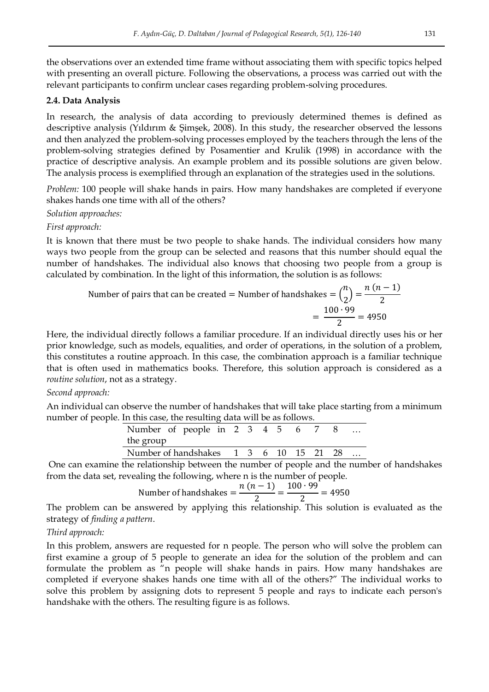the observations over an extended time frame without associating them with specific topics helped with presenting an overall picture. Following the observations, a process was carried out with the relevant participants to confirm unclear cases regarding problem-solving procedures.

# **2.4. Data Analysis**

In research, the analysis of data according to previously determined themes is defined as descriptive analysis (Yıldırım & Şimşek, 2008). In this study, the researcher observed the lessons and then analyzed the problem-solving processes employed by the teachers through the lens of the problem-solving strategies defined by Posamentier and Krulik (1998) in accordance with the practice of descriptive analysis. An example problem and its possible solutions are given below. The analysis process is exemplified through an explanation of the strategies used in the solutions.

*Problem:* 100 people will shake hands in pairs. How many handshakes are completed if everyone shakes hands one time with all of the others?

*Solution approaches:* 

*First approach:* 

It is known that there must be two people to shake hands. The individual considers how many ways two people from the group can be selected and reasons that this number should equal the number of handshakes. The individual also knows that choosing two people from a group is calculated by combination. In the light of this information, the solution is as follows:

Number of pairs that can be created = Number of handshakes = 
$$
\binom{n}{2} = \frac{n(n-1)}{2}
$$
  
=  $\frac{100 \cdot 99}{2} = 4950$ 

Here, the individual directly follows a familiar procedure. If an individual directly uses his or her prior knowledge, such as models, equalities, and order of operations, in the solution of a problem, this constitutes a routine approach. In this case, the combination approach is a familiar technique that is often used in mathematics books. Therefore, this solution approach is considered as a *routine solution*, not as a strategy.

### *Second approach:*

An individual can observe the number of handshakes that will take place starting from a minimum number of people. In this case, the resulting data will be as follows.

| Number of people in 2 3 4 5 6 7 8                                                                                                                                                                                                 |  |  |  |  |
|-----------------------------------------------------------------------------------------------------------------------------------------------------------------------------------------------------------------------------------|--|--|--|--|
| the group                                                                                                                                                                                                                         |  |  |  |  |
| Number of handshakes 1 3 6 10 15 21 28                                                                                                                                                                                            |  |  |  |  |
| $\mathcal{A}$ and the state of the state of the state of the state of the state of the state of the state of the state of the state of the state of the state of the state of the state of the state of the state of the state of |  |  |  |  |

 One can examine the relationship between the number of people and the number of handshakes from the data set, revealing the following, where n is the number of people.

Number of handshakes 
$$
=
$$
  $\frac{n(n-1)}{2} = \frac{100 \cdot 99}{2} = 4950$ 

The problem can be answered by applying this relationship. This solution is evaluated as the strategy of *finding a pattern*.

### *Third approach:*

In this problem, answers are requested for n people. The person who will solve the problem can first examine a group of 5 people to generate an idea for the solution of the problem and can formulate the problem as "n people will shake hands in pairs. How many handshakes are completed if everyone shakes hands one time with all of the others?" The individual works to solve this problem by assigning dots to represent 5 people and rays to indicate each person's handshake with the others. The resulting figure is as follows.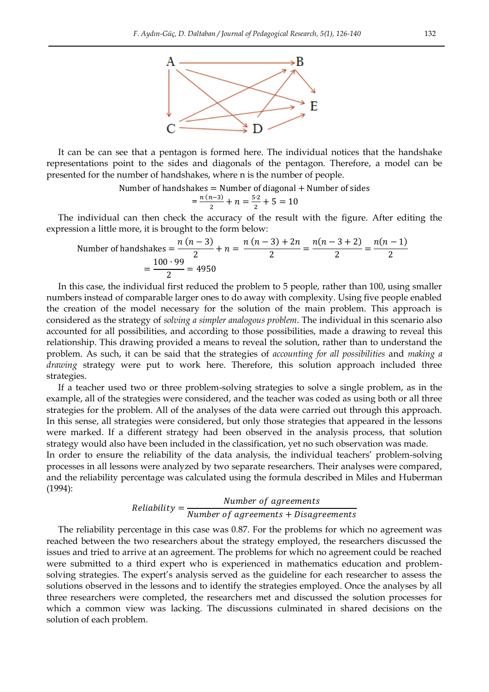

It can be can see that a pentagon is formed here. The individual notices that the handshake representations point to the sides and diagonals of the pentagon. Therefore, a model can be presented for the number of handshakes, where n is the number of people.

Number of handshakes  $=$  Number of diagonal  $+$  Number of sides

$$
=\frac{n\,(n-3)}{2}+n=\frac{5\cdot2}{2}+5=10
$$

The individual can then check the accuracy of the result with the figure. After editing the expression a little more, it is brought to the form below:

Number of handshakes 
$$
=
$$
  $\frac{n(n-3)}{2} + n = \frac{n(n-3) + 2n}{2} = \frac{n(n-3+2)}{2} = \frac{n(n-1)}{2}$   
 $= \frac{100 \cdot 99}{2} = 4950$ 

In this case, the individual first reduced the problem to 5 people, rather than 100, using smaller numbers instead of comparable larger ones to do away with complexity. Using five people enabled the creation of the model necessary for the solution of the main problem. This approach is considered as the strategy of *solving a simpler analogous problem*. The individual in this scenario also accounted for all possibilities, and according to those possibilities, made a drawing to reveal this relationship. This drawing provided a means to reveal the solution, rather than to understand the problem. As such, it can be said that the strategies of *accounting for all possibilities* and *making a drawing* strategy were put to work here. Therefore, this solution approach included three strategies.

If a teacher used two or three problem-solving strategies to solve a single problem, as in the example, all of the strategies were considered, and the teacher was coded as using both or all three strategies for the problem. All of the analyses of the data were carried out through this approach. In this sense, all strategies were considered, but only those strategies that appeared in the lessons were marked. If a different strategy had been observed in the analysis process, that solution strategy would also have been included in the classification, yet no such observation was made.

In order to ensure the reliability of the data analysis, the individual teachers' problem-solving processes in all lessons were analyzed by two separate researchers. Their analyses were compared, and the reliability percentage was calculated using the formula described in Miles and Huberman (1994):

#### $\boldsymbol{R}$  $\boldsymbol{N}$  $\boldsymbol{N}$

The reliability percentage in this case was 0.87. For the problems for which no agreement was reached between the two researchers about the strategy employed, the researchers discussed the issues and tried to arrive at an agreement. The problems for which no agreement could be reached were submitted to a third expert who is experienced in mathematics education and problemsolving strategies. The expert's analysis served as the guideline for each researcher to assess the solutions observed in the lessons and to identify the strategies employed. Once the analyses by all three researchers were completed, the researchers met and discussed the solution processes for which a common view was lacking. The discussions culminated in shared decisions on the solution of each problem.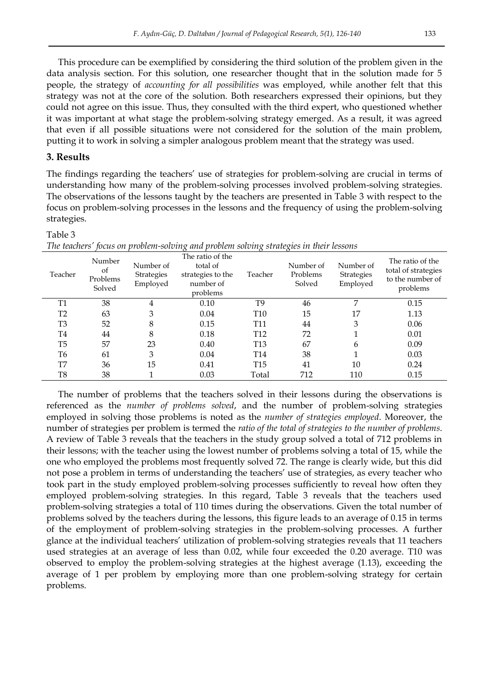This procedure can be exemplified by considering the third solution of the problem given in the data analysis section. For this solution, one researcher thought that in the solution made for 5 people, the strategy of *accounting for all possibilities* was employed, while another felt that this strategy was not at the core of the solution. Both researchers expressed their opinions, but they could not agree on this issue. Thus, they consulted with the third expert, who questioned whether it was important at what stage the problem-solving strategy emerged. As a result, it was agreed that even if all possible situations were not considered for the solution of the main problem, putting it to work in solving a simpler analogous problem meant that the strategy was used.

## **3. Results**

The findings regarding the teachers' use of strategies for problem-solving are crucial in terms of understanding how many of the problem-solving processes involved problem-solving strategies. The observations of the lessons taught by the teachers are presented in Table 3 with respect to the focus on problem-solving processes in the lessons and the frequency of using the problem-solving strategies.

#### Table 3

| Teacher        | Number<br>of<br>Problems<br>Solved | Number of<br><b>Strategies</b><br>Employed | The ratio of the<br>total of<br>strategies to the<br>number of<br>problems | Teacher         | Number of<br>Problems<br>Solved | Number of<br>Strategies<br>Employed | The ratio of the<br>total of strategies<br>to the number of<br>problems |
|----------------|------------------------------------|--------------------------------------------|----------------------------------------------------------------------------|-----------------|---------------------------------|-------------------------------------|-------------------------------------------------------------------------|
| <b>T1</b>      | 38                                 | 4                                          | 0.10                                                                       | T9              | 46                              | 7                                   | 0.15                                                                    |
| T <sub>2</sub> | 63                                 | 3                                          | 0.04                                                                       | T <sub>10</sub> | 15                              | 17                                  | 1.13                                                                    |
| T <sub>3</sub> | 52                                 | 8                                          | 0.15                                                                       | T <sub>11</sub> | 44                              | 3                                   | 0.06                                                                    |
| T <sub>4</sub> | 44                                 | 8                                          | 0.18                                                                       | T <sub>12</sub> | 72                              |                                     | 0.01                                                                    |
| T <sub>5</sub> | 57                                 | 23                                         | 0.40                                                                       | T <sub>13</sub> | 67                              | 6                                   | 0.09                                                                    |
| T <sub>6</sub> | 61                                 | 3                                          | 0.04                                                                       | T14             | 38                              | 1                                   | 0.03                                                                    |
| T7             | 36                                 | 15                                         | 0.41                                                                       | <b>T15</b>      | 41                              | 10                                  | 0.24                                                                    |
| T <sub>8</sub> | 38                                 |                                            | 0.03                                                                       | Total           | 712                             | 110                                 | 0.15                                                                    |

*The teachers' focus on problem-solving and problem solving strategies in their lessons* 

The number of problems that the teachers solved in their lessons during the observations is referenced as the *number of problems solved*, and the number of problem-solving strategies employed in solving those problems is noted as the *number of strategies employed*. Moreover, the number of strategies per problem is termed the *ratio of the total of strategies to the number of problems*. A review of Table 3 reveals that the teachers in the study group solved a total of 712 problems in their lessons; with the teacher using the lowest number of problems solving a total of 15, while the one who employed the problems most frequently solved 72. The range is clearly wide, but this did not pose a problem in terms of understanding the teachers' use of strategies, as every teacher who took part in the study employed problem-solving processes sufficiently to reveal how often they employed problem-solving strategies. In this regard, Table 3 reveals that the teachers used problem-solving strategies a total of 110 times during the observations. Given the total number of problems solved by the teachers during the lessons, this figure leads to an average of 0.15 in terms of the employment of problem-solving strategies in the problem-solving processes. A further glance at the individual teachers' utilization of problem-solving strategies reveals that 11 teachers used strategies at an average of less than 0.02, while four exceeded the 0.20 average. T10 was observed to employ the problem-solving strategies at the highest average (1.13), exceeding the average of 1 per problem by employing more than one problem-solving strategy for certain problems.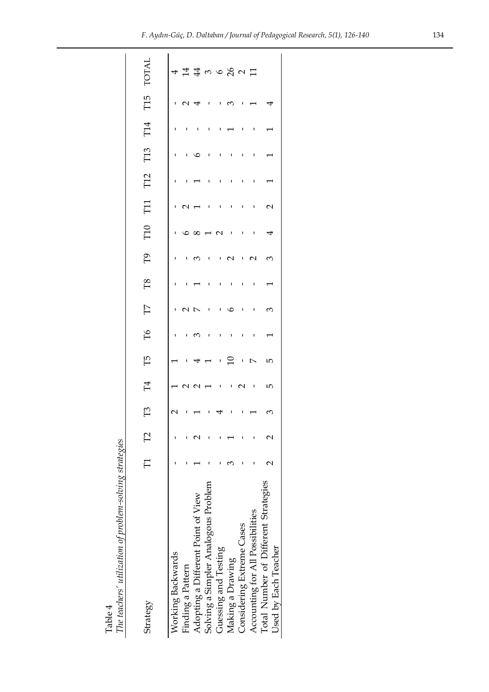| The teachers' utilization of problem-solving strategies<br>Table 4 |                           |          |                          |                           |           |                          |              |         |                 |                          |                          |                 |     |              |                               |             |
|--------------------------------------------------------------------|---------------------------|----------|--------------------------|---------------------------|-----------|--------------------------|--------------|---------|-----------------|--------------------------|--------------------------|-----------------|-----|--------------|-------------------------------|-------------|
| Strategy                                                           | $\overline{\overline{E}}$ | $\Gamma$ | $\Gamma$ 3               | $\mathbb{H}$              | Г5        | Ъб                       | $\Box$       | $^{18}$ | PQ              | T10                      | T11                      | T <sub>12</sub> | T13 | T14          | T15                           | <b>TOTA</b> |
|                                                                    |                           |          |                          |                           |           |                          |              |         |                 |                          |                          |                 |     |              |                               |             |
| Working Backwards                                                  |                           |          | 2                        |                           |           | ı.                       |              |         | ı.              |                          |                          |                 | L.  |              |                               |             |
| Finding a Pattern                                                  |                           |          |                          |                           |           |                          | $\sqrt{2}$   | ı       | ്ര              |                          | $\overline{\phantom{0}}$ |                 | ٠   | J,           | $\overline{1}$ $\overline{1}$ |             |
| Adopting a Different Point of View                                 |                           |          |                          | 1221                      | $-4$      | $\overline{6}$           |              |         |                 |                          |                          |                 | ७   | $\mathbf{I}$ |                               |             |
| Solving a Simpler Analogous Problem                                |                           |          | $\overline{\phantom{a}}$ |                           |           | $\overline{\phantom{a}}$ | $\mathbf{I}$ | ı       | $\mathbf{I}$    | 1 0 0 0 0 0              | <b>I</b>                 |                 | J,  | ı            | $\mathbf{I}$                  | 44496021    |
| Guessing and Testing                                               |                           |          |                          | $\mathbf{I}$ $\mathbf{I}$ | . . 5     | ı                        | п.           | ı       | $\sim$ 1        |                          | ı                        |                 | ٠   |              | ı                             |             |
| Making a Drawing                                                   |                           |          | ı                        |                           |           | ı                        | ৩            | ı       | $\mathbf{\sim}$ | $\blacksquare$           | ı                        |                 | ı   |              | S                             |             |
| Considering Extreme Cases                                          |                           |          |                          | $\mathbf{\sim}$           | $\perp$ N | ı                        | $\mathbf{I}$ | ı       | $\mathbf{I}$    | $\mathbf{I}$             | ı                        |                 | ı   | $\mathbf{I}$ |                               |             |
| Accounting for All Possibilities                                   |                           |          |                          | $\blacksquare$            |           | ı                        | ı            | ı       | $\sim$          | $\overline{\phantom{0}}$ | ı                        |                 | ı   | ı            |                               |             |
| Total Number of Different Strategies<br>Used by Each Teacher       |                           |          | 3                        | Б                         | Б         |                          | $\infty$     |         | 3               | ↤                        | $\mathbf 2$              |                 |     |              |                               |             |
|                                                                    |                           |          |                          |                           |           |                          |              |         |                 |                          |                          |                 |     |              |                               |             |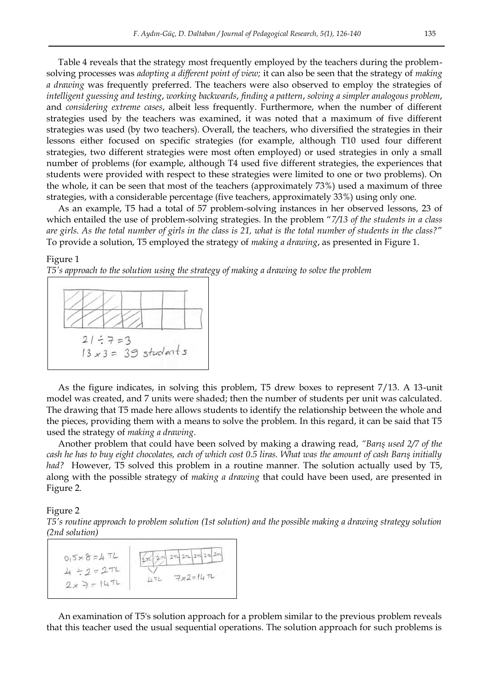Table 4 reveals that the strategy most frequently employed by the teachers during the problemsolving processes was *adopting a different point of view;* it can also be seen that the strategy of *making a drawing* was frequently preferred. The teachers were also observed to employ the strategies of *intelligent guessing and testing*, *working backwards*, *finding a pattern*, *solving a simpler analogous problem*, and *considering extreme cases*, albeit less frequently. Furthermore, when the number of different strategies used by the teachers was examined, it was noted that a maximum of five different strategies was used (by two teachers). Overall, the teachers, who diversified the strategies in their lessons either focused on specific strategies (for example, although T10 used four different strategies, two different strategies were most often employed) or used strategies in only a small number of problems (for example, although T4 used five different strategies, the experiences that students were provided with respect to these strategies were limited to one or two problems). On the whole, it can be seen that most of the teachers (approximately 73%) used a maximum of three strategies, with a considerable percentage (five teachers, approximately 33%) using only one.

As an example, T5 had a total of 57 problem-solving instances in her observed lessons, 23 of which entailed the use of problem-solving strategies. In the problem "*7/13 of the students in a class are girls. As the total number of girls in the class is 21, what is the total number of students in the class?*" To provide a solution, T5 employed the strategy of *making a drawing*, as presented in Figure 1.

#### Figure 1

*T5's approach to the solution using the strategy of making a drawing to solve the problem* 



As the figure indicates, in solving this problem, T5 drew boxes to represent 7/13. A 13-unit model was created, and 7 units were shaded; then the number of students per unit was calculated. The drawing that T5 made here allows students to identify the relationship between the whole and the pieces, providing them with a means to solve the problem. In this regard, it can be said that T5 used the strategy of *making a drawing*.

Another problem that could have been solved by making a drawing read, *"Barış used 2/7 of the cash he has to buy eight chocolates, each of which cost 0.5 liras. What was the amount of cash Barış initially had?* However, T5 solved this problem in a routine manner. The solution actually used by T5, along with the possible strategy of *making a drawing* that could have been used, are presented in Figure 2.

#### Figure 2

*T5's routine approach to problem solution (1st solution) and the possible making a drawing strategy solution (2nd solution)* 



An examination of T5's solution approach for a problem similar to the previous problem reveals that this teacher used the usual sequential operations. The solution approach for such problems is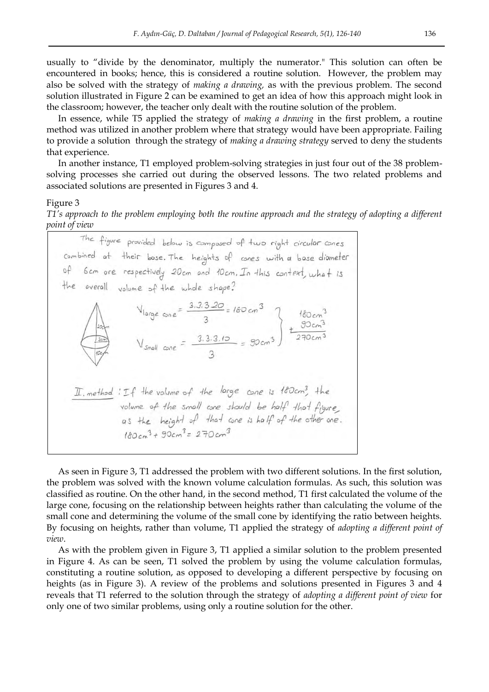usually to "divide by the denominator, multiply the numerator." This solution can often be encountered in books; hence, this is considered a routine solution. However, the problem may also be solved with the strategy of *making a drawing,* as with the previous problem. The second solution illustrated in Figure 2 can be examined to get an idea of how this approach might look in the classroom; however, the teacher only dealt with the routine solution of the problem.

In essence, while T5 applied the strategy of *making a drawing* in the first problem, a routine method was utilized in another problem where that strategy would have been appropriate. Failing to provide a solution through the strategy of *making a drawing strategy* served to deny the students that experience.

In another instance, T1 employed problem-solving strategies in just four out of the 38 problemsolving processes she carried out during the observed lessons. The two related problems and associated solutions are presented in Figures 3 and 4.

#### Figure 3

*T1's approach to the problem employing both the routine approach and the strategy of adopting a different point of view* 

The figure provided below is composed of two right circular cones combined at their base. The heights of cones with a base diameter of 6cm are respectively 20cm and 10cm. In this context, what is the overall volume of the whole shape? Vlarge  $\cos e = \frac{3.3.3.20}{3} = 180 \text{ cm}^3$ <br>
V<sub>small</sub>  $\cos e = \frac{3.3.3.10}{3} = 90 \text{ cm}^3$  +  $\frac{90 \text{ cm}^3}{270 \text{ cm}^3}$ II, method : If the volume of the large cone is 160cm3, the volume of the small cone should be half that figure,<br>as the height of that cone is half of the other one.  $180cm^3 + 90cm^3 = 270cm^3$ 

As seen in Figure 3, T1 addressed the problem with two different solutions. In the first solution, the problem was solved with the known volume calculation formulas. As such, this solution was classified as routine. On the other hand, in the second method, T1 first calculated the volume of the large cone, focusing on the relationship between heights rather than calculating the volume of the small cone and determining the volume of the small cone by identifying the ratio between heights. By focusing on heights, rather than volume, T1 applied the strategy of *adopting a different point of view*.

As with the problem given in Figure 3, T1 applied a similar solution to the problem presented in Figure 4. As can be seen, T1 solved the problem by using the volume calculation formulas, constituting a routine solution, as opposed to developing a different perspective by focusing on heights (as in Figure 3). A review of the problems and solutions presented in Figures 3 and 4 reveals that T1 referred to the solution through the strategy of *adopting a different point of view* for only one of two similar problems, using only a routine solution for the other.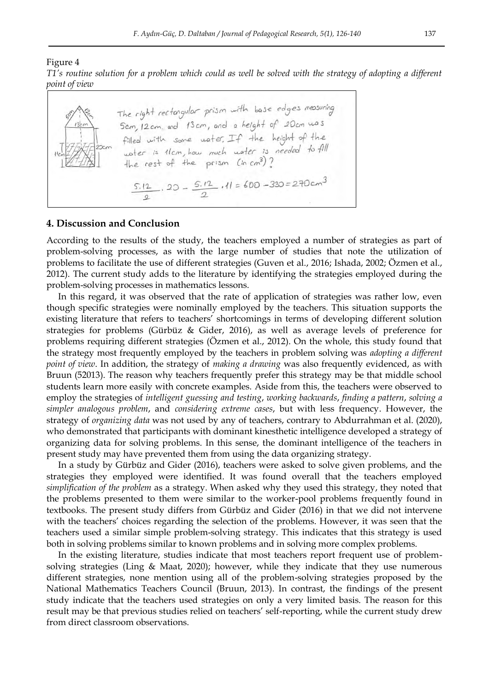#### Figure 4

*T1's routine solution for a problem which could as well be solved with the strategy of adopting a different point of view* 

| $50 - 13cm$ | The right rectorgular prism with base edges measuring<br>5cm, 12cm, and 13cm, and a height of 20cm was<br>filled with some water. If the height of the |
|-------------|--------------------------------------------------------------------------------------------------------------------------------------------------------|
| 77720       | water is tlam, how much water is needed to fill<br>the rest of the prism (in cm3)?                                                                     |
|             | $5.12$ , 20 - $5.12$ , 11 = 600 - 330 = 270 cm <sup>3</sup>                                                                                            |

#### **4. Discussion and Conclusion**

According to the results of the study, the teachers employed a number of strategies as part of problem-solving processes, as with the large number of studies that note the utilization of problems to facilitate the use of different strategies (Guven et al., 2016; Ishada, 2002; Özmen et al., 2012). The current study adds to the literature by identifying the strategies employed during the problem-solving processes in mathematics lessons.

In this regard, it was observed that the rate of application of strategies was rather low, even though specific strategies were nominally employed by the teachers. This situation supports the existing literature that refers to teachers' shortcomings in terms of developing different solution strategies for problems (Gürbüz & Gider, 2016), as well as average levels of preference for problems requiring different strategies (Özmen et al., 2012). On the whole, this study found that the strategy most frequently employed by the teachers in problem solving was *adopting a different point of view*. In addition, the strategy of *making a drawing* was also frequently evidenced, as with Bruun (52013). The reason why teachers frequently prefer this strategy may be that middle school students learn more easily with concrete examples. Aside from this, the teachers were observed to employ the strategies of *intelligent guessing and testing*, *working backwards*, *finding a pattern*, *solving a simpler analogous problem*, and *considering extreme cases*, but with less frequency. However, the strategy of *organizing data* was not used by any of teachers, contrary to Abdurrahman et al. (2020), who demonstrated that participants with dominant kinesthetic intelligence developed a strategy of organizing data for solving problems. In this sense, the dominant intelligence of the teachers in present study may have prevented them from using the data organizing strategy.

In a study by Gürbüz and Gider (2016), teachers were asked to solve given problems, and the strategies they employed were identified. It was found overall that the teachers employed *simplification of the problem* as a strategy. When asked why they used this strategy, they noted that the problems presented to them were similar to the worker-pool problems frequently found in textbooks. The present study differs from Gürbüz and Gider (2016) in that we did not intervene with the teachers' choices regarding the selection of the problems. However, it was seen that the teachers used a similar simple problem-solving strategy. This indicates that this strategy is used both in solving problems similar to known problems and in solving more complex problems.

In the existing literature, studies indicate that most teachers report frequent use of problemsolving strategies (Ling & Maat, 2020); however, while they indicate that they use numerous different strategies, none mention using all of the problem-solving strategies proposed by the National Mathematics Teachers Council (Bruun, 2013). In contrast, the findings of the present study indicate that the teachers used strategies on only a very limited basis. The reason for this result may be that previous studies relied on teachers' self-reporting, while the current study drew from direct classroom observations.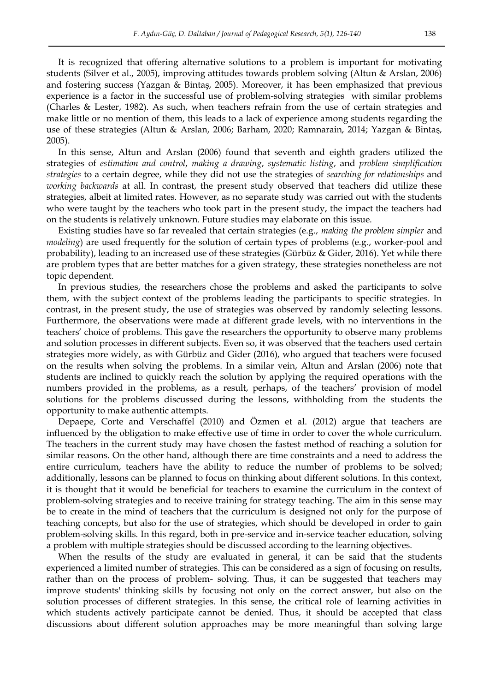It is recognized that offering alternative solutions to a problem is important for motivating students (Silver et al., 2005), improving attitudes towards problem solving (Altun & Arslan, 2006) and fostering success (Yazgan & Bintaş, 2005). Moreover, it has been emphasized that previous experience is a factor in the successful use of problem-solving strategies with similar problems (Charles & Lester, 1982). As such, when teachers refrain from the use of certain strategies and make little or no mention of them, this leads to a lack of experience among students regarding the use of these strategies (Altun & Arslan, 2006; Barham, 2020; Ramnarain, 2014; Yazgan & BintaĢ, 2005).

In this sense, Altun and Arslan (2006) found that seventh and eighth graders utilized the strategies of *estimation and control*, *making a drawing*, *systematic listing*, and *problem simplification strategies* to a certain degree, while they did not use the strategies of *searching for relationships* and *working backwards* at all. In contrast, the present study observed that teachers did utilize these strategies, albeit at limited rates. However, as no separate study was carried out with the students who were taught by the teachers who took part in the present study, the impact the teachers had on the students is relatively unknown. Future studies may elaborate on this issue.

Existing studies have so far revealed that certain strategies (e.g., *making the problem simpler* and *modeling*) are used frequently for the solution of certain types of problems (e.g., worker-pool and probability), leading to an increased use of these strategies (Gürbüz & Gider, 2016). Yet while there are problem types that are better matches for a given strategy, these strategies nonetheless are not topic dependent.

In previous studies, the researchers chose the problems and asked the participants to solve them, with the subject context of the problems leading the participants to specific strategies. In contrast, in the present study, the use of strategies was observed by randomly selecting lessons. Furthermore, the observations were made at different grade levels, with no interventions in the teachers' choice of problems. This gave the researchers the opportunity to observe many problems and solution processes in different subjects. Even so, it was observed that the teachers used certain strategies more widely, as with Gürbüz and Gider (2016), who argued that teachers were focused on the results when solving the problems. In a similar vein, Altun and Arslan (2006) note that students are inclined to quickly reach the solution by applying the required operations with the numbers provided in the problems, as a result, perhaps, of the teachers' provision of model solutions for the problems discussed during the lessons, withholding from the students the opportunity to make authentic attempts.

Depaepe, Corte and Verschaffel (2010) and Özmen et al. (2012) argue that teachers are influenced by the obligation to make effective use of time in order to cover the whole curriculum. The teachers in the current study may have chosen the fastest method of reaching a solution for similar reasons. On the other hand, although there are time constraints and a need to address the entire curriculum, teachers have the ability to reduce the number of problems to be solved; additionally, lessons can be planned to focus on thinking about different solutions. In this context, it is thought that it would be beneficial for teachers to examine the curriculum in the context of problem-solving strategies and to receive training for strategy teaching. The aim in this sense may be to create in the mind of teachers that the curriculum is designed not only for the purpose of teaching concepts, but also for the use of strategies, which should be developed in order to gain problem-solving skills. In this regard, both in pre-service and in-service teacher education, solving a problem with multiple strategies should be discussed according to the learning objectives.

When the results of the study are evaluated in general, it can be said that the students experienced a limited number of strategies. This can be considered as a sign of focusing on results, rather than on the process of problem- solving. Thus, it can be suggested that teachers may improve students' thinking skills by focusing not only on the correct answer, but also on the solution processes of different strategies. In this sense, the critical role of learning activities in which students actively participate cannot be denied. Thus, it should be accepted that class discussions about different solution approaches may be more meaningful than solving large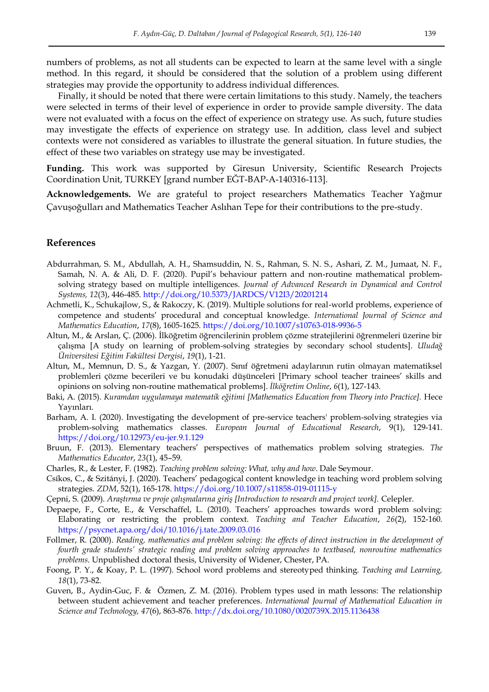numbers of problems, as not all students can be expected to learn at the same level with a single method. In this regard, it should be considered that the solution of a problem using different strategies may provide the opportunity to address individual differences.

Finally, it should be noted that there were certain limitations to this study. Namely, the teachers were selected in terms of their level of experience in order to provide sample diversity. The data were not evaluated with a focus on the effect of experience on strategy use. As such, future studies may investigate the effects of experience on strategy use. In addition, class level and subject contexts were not considered as variables to illustrate the general situation. In future studies, the effect of these two variables on strategy use may be investigated.

**Funding.** This work was supported by Giresun University, Scientific Research Projects Coordination Unit, TURKEY [grand number EĞT-BAP-A-140316-113].

**Acknowledgements.** We are grateful to project researchers Mathematics Teacher Yağmur ÇavuĢoğulları and Mathematics Teacher Aslıhan Tepe for their contributions to the pre-study.

#### **References**

- Abdurrahman, S. M., Abdullah, A. H., Shamsuddin, N. S., Rahman, S. N. S., Ashari, Z. M., Jumaat, N. F., Samah, N. A. & Ali, D. F. (2020). Pupil's behaviour pattern and non-routine mathematical problemsolving strategy based on multiple intelligences. *Journal of Advanced Research in Dynamical and Control Systems, 12*(3), 446-485.<http://doi.org/10.5373/JARDCS/V12I3/20201214>
- Achmetli, K., Schukajlow, S., & Rakoczy, K. (2019). Multiple solutions for real-world problems, experience of competence and students' procedural and conceptual knowledge. *International Journal of Science and Mathematics Education*, *17*(8), 1605-1625.<https://doi.org/10.1007/s10763-018-9936-5>
- Altun, M., & Arslan, Ç. (2006). İlköğretim öğrencilerinin problem çözme stratejilerini öğrenmeleri üzerine bir çalıĢma [A study on learning of problem-solving strategies by secondary school students]. *Uludağ Üniversitesi Eğitim Fakültesi Dergisi*, *19*(1), 1-21.
- Altun, M., Memnun, D. S., & Yazgan, Y. (2007). Sınıf öğretmeni adaylarının rutin olmayan matematiksel problemleri çözme becerileri ve bu konudaki düĢünceleri [Primary school teacher trainees' skills and opinions on solving non-routine mathematical problems]. *İlköğretim Online*, *6*(1), 127-143.
- Baki, A. (2015). *Kuramdan uygulamaya matematik eğitimi [Mathematics Education from Theory into Practice].* Hece Yayınları.
- Barham, A. I. (2020). Investigating the development of pre-service teachers' problem-solving strategies via problem-solving mathematics classes. *European Journal of Educational Research*, 9(1), 129-141. <https://doi.org/10.12973/eu-jer.9.1.129>
- Bruun, F. (2013). Elementary teachers' perspectives of mathematics problem solving strategies. *The Mathematics Educator*, *23*(1), 45–59.
- Charles, R., & Lester, F. (1982). *Teaching problem solving: What, why and how*. Dale Seymour.
- Csíkos, C., & Szitányi, J. (2020). Teachers' pedagogical content knowledge in teaching word problem solving strategies. *ZDM*, 52(1), 165-178.<https://doi.org/10.1007/s11858-019-01115-y>
- Çepni, S. (2009). *Araştırma ve proje çalışmalarına giriş [Introduction to research and project work].* Celepler.
- Depaepe, F., Corte, E., & Verschaffel, L. (2010). Teachers' approaches towards word problem solving: Elaborating or restricting the problem context. *Teaching and Teacher Education*, *26*(2), 152-160. <https://psycnet.apa.org/doi/10.1016/j.tate.2009.03.016>
- Follmer, R. (2000). *Reading, mathematics and problem solving: the effects of direct instruction in the development of fourth grade students' strategic reading and problem solving approaches to textbased, nonroutine mathematics problems*. Unpublished doctoral thesis, University of Widener, Chester, PA.
- Foong, P. Y., & Koay, P. L. (1997). School word problems and stereotyped thinking. *Teaching and Learning, 18*(1), 73-82.
- Guven, B., Aydin-Guc, F. & Özmen, Z. M. (2016). Problem types used in math lessons: The relationship between student achievement and teacher preferences. *International Journal of Mathematical Education in Science and Technology, 47*(6), 863-876.<http://dx.doi.org/10.1080/0020739X.2015.1136438>